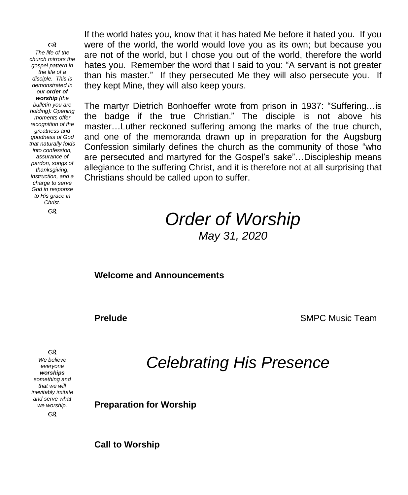෬ *The life of the church mirrors the gospel pattern in the life of a disciple. This is demonstrated in our order of worship (the bulletin you are holding): Opening moments offer recognition of the greatness and goodness of God that naturally folds into confession, assurance of pardon, songs of thanksgiving, instruction, and a charge to serve God in response to His grace in Christ.*  $\infty$ 

If the world hates you, know that it has hated Me before it hated you. If you were of the world, the world would love you as its own; but because you are not of the world, but I chose you out of the world, therefore the world hates you. Remember the word that I said to you: "A servant is not greater than his master." If they persecuted Me they will also persecute you. If they kept Mine, they will also keep yours.

The martyr Dietrich Bonhoeffer wrote from prison in 1937: "Suffering…is the badge if the true Christian." The disciple is not above his master…Luther reckoned suffering among the marks of the true church, and one of the memoranda drawn up in preparation for the Augsburg Confession similarly defines the church as the community of those "who are persecuted and martyred for the Gospel's sake"…Discipleship means allegiance to the suffering Christ, and it is therefore not at all surprising that Christians should be called upon to suffer.

# *Order of Worship May 31, 2020*

**Welcome and Announcements** 

**Prelude SMPC** Music Team

*Celebrating His Presence*

**Preparation for Worship**

**Call to Worship**

 $\infty$ 

*We believe everyone worships something and that we will inevitably imitate and serve what we worship.*

 $\infty$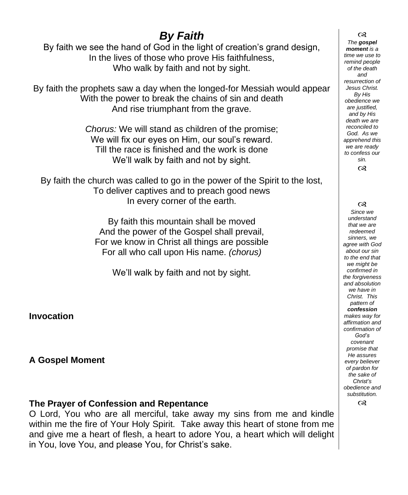# *By Faith*

By faith we see the hand of God in the light of creation's grand design, In the lives of those who prove His faithfulness, Who walk by faith and not by sight.

By faith the prophets saw a day when the longed-for Messiah would appear With the power to break the chains of sin and death And rise triumphant from the grave.

> *Chorus:* We will stand as children of the promise; We will fix our eves on Him, our soul's reward. Till the race is finished and the work is done We'll walk by faith and not by sight.

By faith the church was called to go in the power of the Spirit to the lost, To deliver captives and to preach good news In every corner of the earth.

> By faith this mountain shall be moved And the power of the Gospel shall prevail, For we know in Christ all things are possible For all who call upon His name. *(chorus)*

We'll walk by faith and not by sight.

**Invocation**

**A Gospel Moment** 

#### **The Prayer of Confession and Repentance**

O Lord, You who are all merciful, take away my sins from me and kindle within me the fire of Your Holy Spirit. Take away this heart of stone from me and give me a heart of flesh, a heart to adore You, a heart which will delight in You, love You, and please You, for Christ's sake.

 $\infty$ *The gospel moment is a time we use to remind people of the death and resurrection of Jesus Christ. By His obedience we are justified, and by His death we are reconciled to God. As we apprehend this we are ready to confess our sin.* ෬

෬

*Since we understand that we are redeemed sinners, we agree with God about our sin to the end that we might be confirmed in the forgiveness and absolution we have in Christ. This pattern of confession makes way for affirmation and confirmation of God's covenant promise that He assures every believer of pardon for the sake of Christ's obedience and substitution.*

෬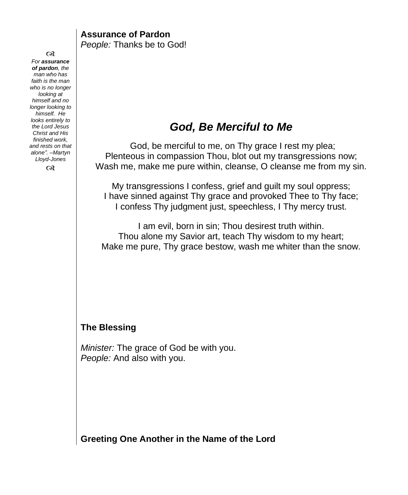**Assurance of Pardon** *People:* Thanks be to God!

 $\infty$ *For assurance of pardon, the man who has faith is the man who is no longer looking at himself and no longer looking to himself. He looks entirely to the Lord Jesus Christ and His finished work, and rests on that alone". –Martyn Lloyd-Jones*

 $\infty$ 

### *God, Be Merciful to Me*

God, be merciful to me, on Thy grace I rest my plea; Plenteous in compassion Thou, blot out my transgressions now; Wash me, make me pure within, cleanse, O cleanse me from my sin.

My transgressions I confess, grief and guilt my soul oppress; I have sinned against Thy grace and provoked Thee to Thy face; I confess Thy judgment just, speechless, I Thy mercy trust.

I am evil, born in sin; Thou desirest truth within. Thou alone my Savior art, teach Thy wisdom to my heart; Make me pure, Thy grace bestow, wash me whiter than the snow.

#### **The Blessing**

*Minister:* The grace of God be with you. *People:* And also with you.

**Greeting One Another in the Name of the Lord**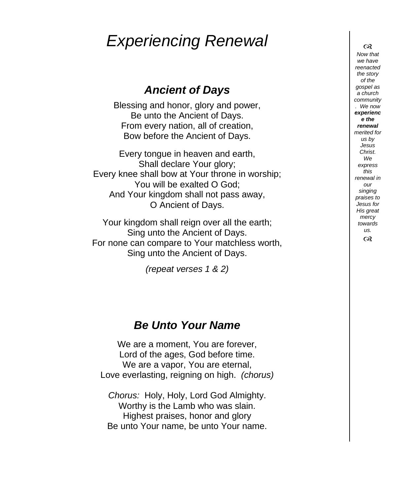# *Experiencing Renewal*

## *Ancient of Days*

Blessing and honor, glory and power, Be unto the Ancient of Days. From every nation, all of creation, Bow before the Ancient of Days.

Every tongue in heaven and earth, Shall declare Your glory; Every knee shall bow at Your throne in worship; You will be exalted O God; And Your kingdom shall not pass away, O Ancient of Days.

Your kingdom shall reign over all the earth; Sing unto the Ancient of Days. For none can compare to Your matchless worth, Sing unto the Ancient of Days.

*(repeat verses 1 & 2)*

### *Be Unto Your Name*

We are a moment, You are forever, Lord of the ages, God before time. We are a vapor, You are eternal, Love everlasting, reigning on high. *(chorus)*

*Chorus:* Holy, Holy, Lord God Almighty. Worthy is the Lamb who was slain. Highest praises, honor and glory Be unto Your name, be unto Your name.

 $\infty$ *Now that we have reenacted the story of the gospel as a church community . We now experienc e the renewal merited for us by Jesus Christ. We express this renewal in our singing praises to Jesus for His great mercy towards us.*  $\infty$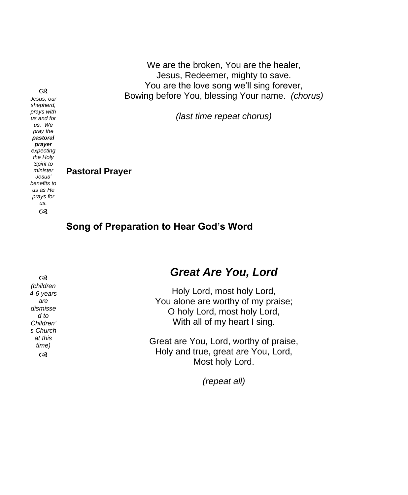We are the broken, You are the healer, Jesus, Redeemer, mighty to save. You are the love song we'll sing forever, Bowing before You, blessing Your name. *(chorus)*

*(last time repeat chorus)*

**Pastoral Prayer** 

**Song of Preparation to Hear God's Word**

*benefits to us as He prays for us.*  $\infty$  $\infty$ *(children 4-6 years* 

*are dismisse d to Children' s Church at this time)*  $\infty$ 

## *Great Are You, Lord*

Holy Lord, most holy Lord, You alone are worthy of my praise; O holy Lord, most holy Lord, With all of my heart I sing.

Great are You, Lord, worthy of praise, Holy and true, great are You, Lord, Most holy Lord.

*(repeat all)*

#### $\infty$

*Jesus, our shepherd, prays with us and for us. We pray the pastoral prayer expecting the Holy Spirit to minister Jesus'*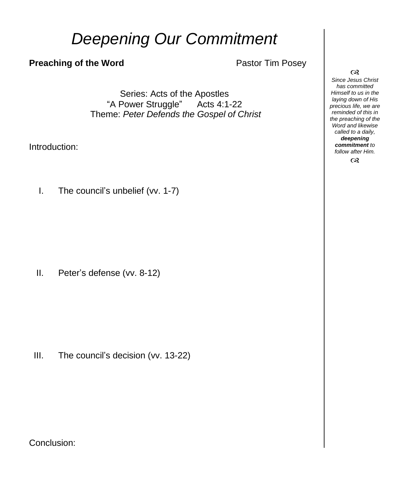# *Deepening Our Commitment*

#### **Preaching of the Word Pastor Tim Posey**

Series: Acts of the Apostles "A Power Struggle" Acts 4:1-22 Theme: *Peter Defends the Gospel of Christ*

Introduction:

I. The council's unbelief (vv. 1-7)

II. Peter's defense (vv. 8-12)

III. The council's decision (vv. 13-22)

Conclusion:

#### $\infty$

*Since Jesus Christ has committed Himself to us in the laying down of His precious life, we are reminded of this in the preaching of the Word and likewise called to a daily, deepening commitment to follow after Him.*

 $\infty$